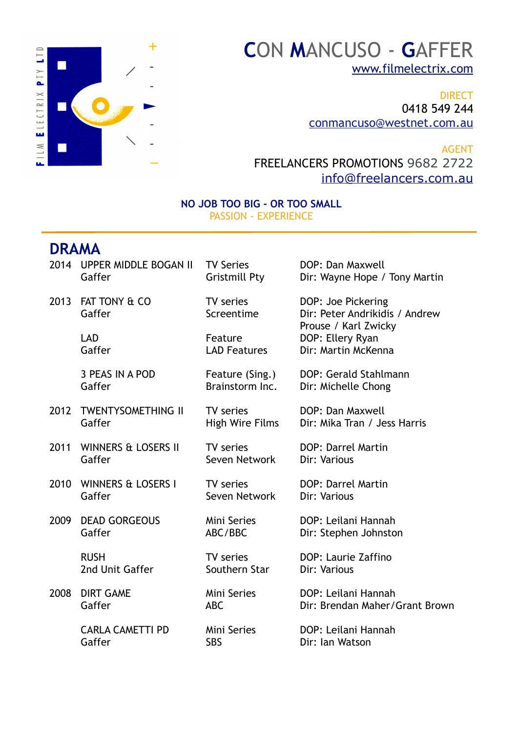

## **C**ON **M**ANCUSO - **G**AFFER [www.filmelectrix.com](http://www.filmelectrix.com)

DIRECT 0418 549 244 [conmancuso@westnet.com.au](mailto:conmancuso@westnet.com.au)

AGENT FREELANCERS PROMOTIONS 9682 2722 [info@freelancers.com.au](mailto:info@freelancers.com.au)

## **NO JOB TOO BIG - OR TOO SMALL** PASSION - EXPERIENCE

## **DRAMA**

|      | 2014 UPPER MIDDLE BOGAN II | <b>TV Series</b>        | DOP: Dan Maxwell                                                             |
|------|----------------------------|-------------------------|------------------------------------------------------------------------------|
|      | Gaffer                     | <b>Gristmill Pty</b>    | Dir: Wayne Hope / Tony Martin                                                |
| 2013 | FAT TONY & CO<br>Gaffer    | TV series<br>Screentime | DOP: Joe Pickering<br>Dir: Peter Andrikidis / Andrew<br>Prouse / Karl Zwicky |
|      | <b>LAD</b>                 | Feature                 | DOP: Ellery Ryan                                                             |
|      | Gaffer                     | <b>LAD Features</b>     | Dir: Martin McKenna                                                          |
|      | 3 PEAS IN A POD            | Feature (Sing.)         | DOP: Gerald Stahlmann                                                        |
|      | Gaffer                     | Brainstorm Inc.         | Dir: Michelle Chong                                                          |
| 2012 | <b>TWENTYSOMETHING II</b>  | TV series               | DOP: Dan Maxwell                                                             |
|      | Gaffer                     | High Wire Films         | Dir: Mika Tran / Jess Harris                                                 |
| 2011 | WINNERS & LOSERS II        | TV series               | DOP: Darrel Martin                                                           |
|      | Gaffer                     | Seven Network           | Dir: Various                                                                 |
|      | 2010 WINNERS & LOSERS I    | TV series               | DOP: Darrel Martin                                                           |
|      | Gaffer                     | Seven Network           | Dir: Various                                                                 |
| 2009 | <b>DEAD GORGEOUS</b>       | Mini Series             | DOP: Leilani Hannah                                                          |
|      | Gaffer                     | ABC/BBC                 | Dir: Stephen Johnston                                                        |
|      | <b>RUSH</b>                | TV series               | DOP: Laurie Zaffino                                                          |
|      | 2nd Unit Gaffer            | Southern Star           | Dir: Various                                                                 |
| 2008 | <b>DIRT GAME</b>           | Mini Series             | DOP: Leilani Hannah                                                          |
|      | Gaffer                     | <b>ABC</b>              | Dir: Brendan Maher/Grant Brown                                               |
|      | <b>CARLA CAMETTI PD</b>    | <b>Mini Series</b>      | DOP: Leilani Hannah                                                          |
|      | Gaffer                     | <b>SBS</b>              | Dir: Ian Watson                                                              |
|      |                            |                         |                                                                              |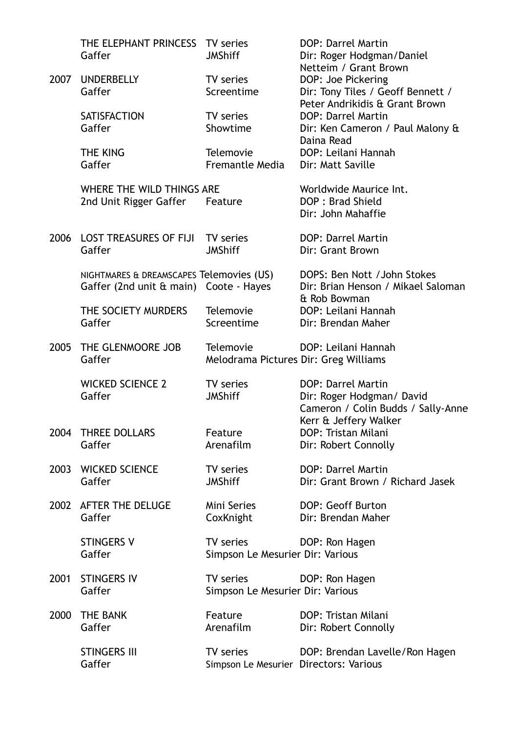|      | THE ELEPHANT PRINCESS<br>Gaffer                                                    | TV series<br><b>JMShiff</b>                               | <b>DOP: Darrel Martin</b><br>Dir: Roger Hodgman/Daniel                                   |
|------|------------------------------------------------------------------------------------|-----------------------------------------------------------|------------------------------------------------------------------------------------------|
| 2007 | <b>UNDERBELLY</b><br>Gaffer                                                        | TV series<br>Screentime                                   | Netteim / Grant Brown<br>DOP: Joe Pickering<br>Dir: Tony Tiles / Geoff Bennett /         |
|      | <b>SATISFACTION</b><br>Gaffer                                                      | TV series<br>Showtime                                     | Peter Andrikidis & Grant Brown<br>DOP: Darrel Martin<br>Dir: Ken Cameron / Paul Malony & |
|      | THE KING<br>Gaffer                                                                 | Telemovie<br>Fremantle Media                              | Daina Read<br>DOP: Leilani Hannah<br>Dir: Matt Saville                                   |
|      | WHERE THE WILD THINGS ARE<br>2nd Unit Rigger Gaffer                                | Feature                                                   | Worldwide Maurice Int.<br>DOP: Brad Shield<br>Dir: John Mahaffie                         |
| 2006 | <b>LOST TREASURES OF FIJI</b><br>Gaffer                                            | TV series<br><b>JMShiff</b>                               | <b>DOP: Darrel Martin</b><br>Dir: Grant Brown                                            |
|      | NIGHTMARES & DREAMSCAPES Telemovies (US)<br>Gaffer (2nd unit & main) Coote - Hayes |                                                           | DOPS: Ben Nott / John Stokes<br>Dir: Brian Henson / Mikael Saloman<br>& Rob Bowman       |
|      | THE SOCIETY MURDERS<br>Gaffer                                                      | <b>Telemovie</b><br>Screentime                            | DOP: Leilani Hannah<br>Dir: Brendan Maher                                                |
| 2005 | THE GLENMOORE JOB<br>Gaffer                                                        | <b>Telemovie</b><br>Melodrama Pictures Dir: Greg Williams | DOP: Leilani Hannah                                                                      |
|      | <b>WICKED SCIENCE 2</b><br>Gaffer                                                  | TV series<br><b>JMShiff</b>                               | DOP: Darrel Martin<br>Dir: Roger Hodgman/ David<br>Cameron / Colin Budds / Sally-Anne    |
| 2004 | <b>THREE DOLLARS</b><br>Gaffer                                                     | Feature<br>Arenafilm                                      | Kerr & Jeffery Walker<br>DOP: Tristan Milani<br>Dir: Robert Connolly                     |
| 2003 | <b>WICKED SCIENCE</b><br>Gaffer                                                    | TV series<br><b>JMShiff</b>                               | DOP: Darrel Martin<br>Dir: Grant Brown / Richard Jasek                                   |
| 2002 | <b>AFTER THE DELUGE</b><br>Gaffer                                                  | Mini Series<br>CoxKnight                                  | DOP: Geoff Burton<br>Dir: Brendan Maher                                                  |
|      | <b>STINGERS V</b><br>Gaffer                                                        | TV series<br>Simpson Le Mesurier Dir: Various             | DOP: Ron Hagen                                                                           |
| 2001 | <b>STINGERS IV</b><br>Gaffer                                                       | TV series<br>Simpson Le Mesurier Dir: Various             | DOP: Ron Hagen                                                                           |
| 2000 | <b>THE BANK</b><br>Gaffer                                                          | Feature<br>Arenafilm                                      | DOP: Tristan Milani<br>Dir: Robert Connolly                                              |
|      | <b>STINGERS III</b><br>Gaffer                                                      | TV series<br>Simpson Le Mesurier Directors: Various       | DOP: Brendan Lavelle/Ron Hagen                                                           |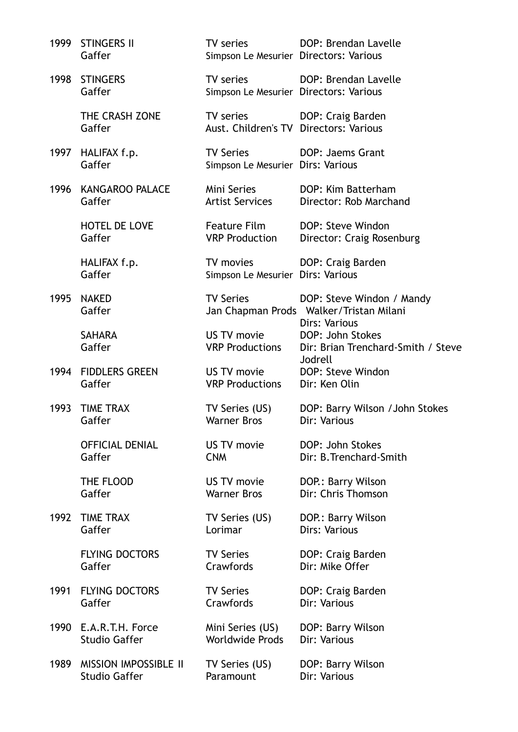| 1999 | <b>STINGERS II</b><br>Gaffer | TV series<br>Simpson Le Mesurier Directors: Various   | DOP: Brendan Lavelle                                                                  |
|------|------------------------------|-------------------------------------------------------|---------------------------------------------------------------------------------------|
| 1998 | <b>STINGERS</b><br>Gaffer    | TV series<br>Simpson Le Mesurier Directors: Various   | DOP: Brendan Lavelle                                                                  |
|      | THE CRASH ZONE<br>Gaffer     | TV series<br>Aust. Children's TV Directors: Various   | DOP: Craig Barden                                                                     |
| 1997 | HALIFAX f.p.<br>Gaffer       | <b>TV Series</b><br>Simpson Le Mesurier Dirs: Various | DOP: Jaems Grant                                                                      |
| 1996 | <b>KANGAROO PALACE</b>       | Mini Series                                           | DOP: Kim Batterham                                                                    |
|      | Gaffer                       | <b>Artist Services</b>                                | Director: Rob Marchand                                                                |
|      | <b>HOTEL DE LOVE</b>         | Feature Film                                          | DOP: Steve Windon                                                                     |
|      | Gaffer                       | <b>VRP Production</b>                                 | Director: Craig Rosenburg                                                             |
|      | HALIFAX f.p.<br>Gaffer       | TV movies<br>Simpson Le Mesurier Dirs: Various        | DOP: Craig Barden                                                                     |
| 1995 | <b>NAKED</b><br>Gaffer       | <b>TV Series</b>                                      | DOP: Steve Windon / Mandy<br>Jan Chapman Prods Walker/Tristan Milani<br>Dirs: Various |
|      | <b>SAHARA</b><br>Gaffer      | US TV movie<br><b>VRP Productions</b>                 | DOP: John Stokes<br>Dir: Brian Trenchard-Smith / Steve<br>Jodrell                     |
| 1994 | <b>FIDDLERS GREEN</b>        | US TV movie                                           | DOP: Steve Windon                                                                     |
|      | Gaffer                       | <b>VRP Productions</b>                                | Dir: Ken Olin                                                                         |
| 1993 | <b>TIME TRAX</b>             | TV Series (US)                                        | DOP: Barry Wilson / John Stokes                                                       |
|      | Gaffer                       | <b>Warner Bros</b>                                    | Dir: Various                                                                          |
|      | <b>OFFICIAL DENIAL</b>       | US TV movie                                           | DOP: John Stokes                                                                      |
|      | Gaffer                       | <b>CNM</b>                                            | Dir: B. Trenchard-Smith                                                               |
|      | THE FLOOD                    | US TV movie                                           | DOP.: Barry Wilson                                                                    |
|      | Gaffer                       | <b>Warner Bros</b>                                    | Dir: Chris Thomson                                                                    |
| 1992 | <b>TIME TRAX</b>             | TV Series (US)                                        | DOP.: Barry Wilson                                                                    |
|      | Gaffer                       | Lorimar                                               | Dirs: Various                                                                         |
|      | <b>FLYING DOCTORS</b>        | <b>TV Series</b>                                      | DOP: Craig Barden                                                                     |
|      | Gaffer                       | Crawfords                                             | Dir: Mike Offer                                                                       |
| 1991 | <b>FLYING DOCTORS</b>        | <b>TV Series</b>                                      | DOP: Craig Barden                                                                     |
|      | Gaffer                       | Crawfords                                             | Dir: Various                                                                          |
| 1990 | E.A.R.T.H. Force             | Mini Series (US)                                      | DOP: Barry Wilson                                                                     |
|      | <b>Studio Gaffer</b>         | <b>Worldwide Prods</b>                                | Dir: Various                                                                          |
| 1989 | <b>MISSION IMPOSSIBLE II</b> | TV Series (US)                                        | DOP: Barry Wilson                                                                     |
|      | <b>Studio Gaffer</b>         | Paramount                                             | Dir: Various                                                                          |